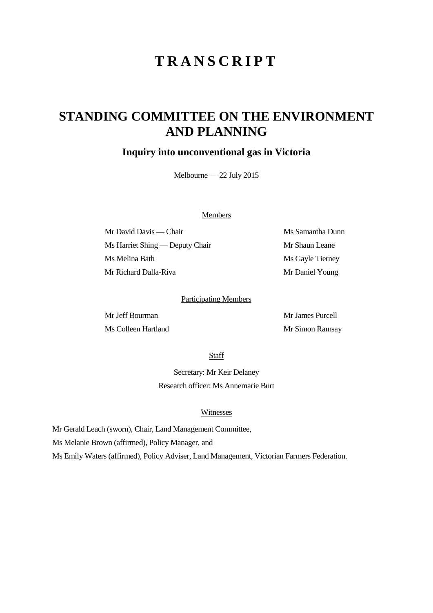# **TRANSCRIPT**

# **STANDING COMMITTEE ON THE ENVIRONMENT AND PLANNING**

## **Inquiry into unconventional gas in Victoria**

Melbourne — 22 July 2015

### Members

Mr David Davis — Chair Ms Samantha Dunn Ms Harriet Shing — Deputy Chair Mr Shaun Leane Ms Melina Bath Ms Gayle Tierney Mr Richard Dalla-Riva Mr Daniel Young

### Participating Members

Mr James Purcell Ms Colleen Hartland Mr Simon Ramsay

Staff

Secretary: Mr Keir Delaney Research officer: Ms Annemarie Burt

#### Witnesses

Mr Gerald Leach (sworn), Chair, Land Management Committee,

Ms Melanie Brown (affirmed), Policy Manager, and

Ms Emily Waters (affirmed), Policy Adviser, Land Management, Victorian Farmers Federation.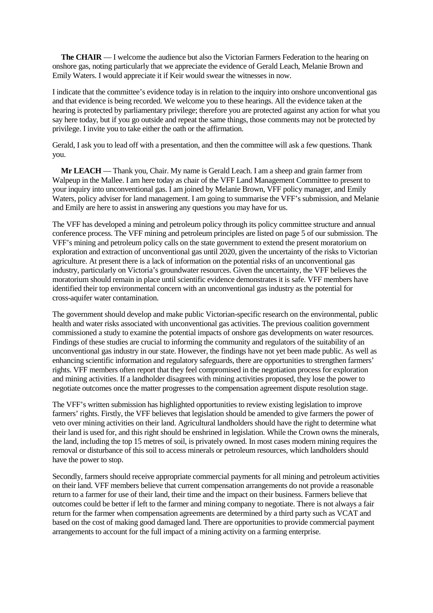**The CHAIR** — I welcome the audience but also the Victorian Farmers Federation to the hearing on onshore gas, noting particularly that we appreciate the evidence of Gerald Leach, Melanie Brown and Emily Waters. I would appreciate it if Keir would swear the witnesses in now.

I indicate that the committee's evidence today is in relation to the inquiry into onshore unconventional gas and that evidence is being recorded. We welcome you to these hearings. All the evidence taken at the hearing is protected by parliamentary privilege; therefore you are protected against any action for what you say here today, but if you go outside and repeat the same things, those comments may not be protected by privilege. I invite you to take either the oath or the affirmation.

Gerald, I ask you to lead off with a presentation, and then the committee will ask a few questions. Thank you.

**Mr LEACH** — Thank you, Chair. My name is Gerald Leach. I am a sheep and grain farmer from Walpeup in the Mallee. I am here today as chair of the VFF Land Management Committee to present to your inquiry into unconventional gas. I am joined by Melanie Brown, VFF policy manager, and Emily Waters, policy adviser for land management. I am going to summarise the VFF's submission, and Melanie and Emily are here to assist in answering any questions you may have for us.

The VFF has developed a mining and petroleum policy through its policy committee structure and annual conference process. The VFF mining and petroleum principles are listed on page 5 of our submission. The VFF's mining and petroleum policy calls on the state government to extend the present moratorium on exploration and extraction of unconventional gas until 2020, given the uncertainty of the risks to Victorian agriculture. At present there is a lack of information on the potential risks of an unconventional gas industry, particularly on Victoria's groundwater resources. Given the uncertainty, the VFF believes the moratorium should remain in place until scientific evidence demonstrates it is safe. VFF members have identified their top environmental concern with an unconventional gas industry as the potential for cross-aquifer water contamination.

The government should develop and make public Victorian-specific research on the environmental, public health and water risks associated with unconventional gas activities. The previous coalition government commissioned a study to examine the potential impacts of onshore gas developments on water resources. Findings of these studies are crucial to informing the community and regulators of the suitability of an unconventional gas industry in our state. However, the findings have not yet been made public. As well as enhancing scientific information and regulatory safeguards, there are opportunities to strengthen farmers' rights. VFF members often report that they feel compromised in the negotiation process for exploration and mining activities. If a landholder disagrees with mining activities proposed, they lose the power to negotiate outcomes once the matter progresses to the compensation agreement dispute resolution stage.

The VFF's written submission has highlighted opportunities to review existing legislation to improve farmers' rights. Firstly, the VFF believes that legislation should be amended to give farmers the power of veto over mining activities on their land. Agricultural landholders should have the right to determine what their land is used for, and this right should be enshrined in legislation. While the Crown owns the minerals, the land, including the top 15 metres of soil, is privately owned. In most cases modern mining requires the removal or disturbance of this soil to access minerals or petroleum resources, which landholders should have the power to stop.

Secondly, farmers should receive appropriate commercial payments for all mining and petroleum activities on their land. VFF members believe that current compensation arrangements do not provide a reasonable return to a farmer for use of their land, their time and the impact on their business. Farmers believe that outcomes could be better if left to the farmer and mining company to negotiate. There is not always a fair return for the farmer when compensation agreements are determined by a third party such as VCAT and based on the cost of making good damaged land. There are opportunities to provide commercial payment arrangements to account for the full impact of a mining activity on a farming enterprise.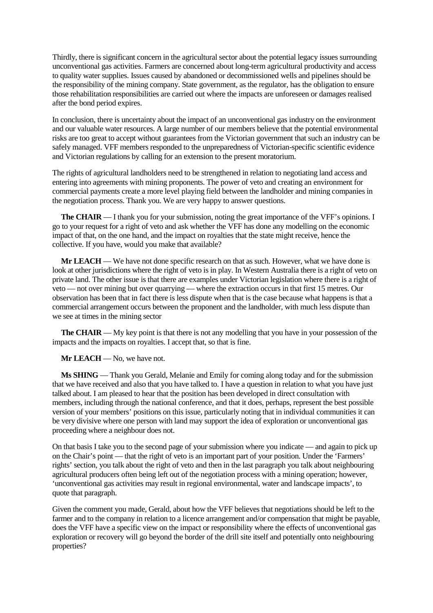Thirdly, there is significant concern in the agricultural sector about the potential legacy issues surrounding unconventional gas activities. Farmers are concerned about long-term agricultural productivity and access to quality water supplies. Issues caused by abandoned or decommissioned wells and pipelines should be the responsibility of the mining company. State government, as the regulator, has the obligation to ensure those rehabilitation responsibilities are carried out where the impacts are unforeseen or damages realised after the bond period expires.

In conclusion, there is uncertainty about the impact of an unconventional gas industry on the environment and our valuable water resources. A large number of our members believe that the potential environmental risks are too great to accept without guarantees from the Victorian government that such an industry can be safely managed. VFF members responded to the unpreparedness of Victorian-specific scientific evidence and Victorian regulations by calling for an extension to the present moratorium.

The rights of agricultural landholders need to be strengthened in relation to negotiating land access and entering into agreements with mining proponents. The power of veto and creating an environment for commercial payments create a more level playing field between the landholder and mining companies in the negotiation process. Thank you. We are very happy to answer questions.

**The CHAIR** — I thank you for your submission, noting the great importance of the VFF's opinions. I go to your request for a right of veto and ask whether the VFF has done any modelling on the economic impact of that, on the one hand, and the impact on royalties that the state might receive, hence the collective. If you have, would you make that available?

**Mr LEACH** — We have not done specific research on that as such. However, what we have done is look at other jurisdictions where the right of veto is in play. In Western Australia there is a right of veto on private land. The other issue is that there are examples under Victorian legislation where there is a right of veto — not over mining but over quarrying — where the extraction occurs in that first 15 metres. Our observation has been that in fact there is less dispute when that is the case because what happens is that a commercial arrangement occurs between the proponent and the landholder, with much less dispute than we see at times in the mining sector

**The CHAIR** — My key point is that there is not any modelling that you have in your possession of the impacts and the impacts on royalties. I accept that, so that is fine.

**Mr LEACH** — No, we have not.

**Ms SHING** — Thank you Gerald, Melanie and Emily for coming along today and for the submission that we have received and also that you have talked to. I have a question in relation to what you have just talked about. I am pleased to hear that the position has been developed in direct consultation with members, including through the national conference, and that it does, perhaps, represent the best possible version of your members' positions on this issue, particularly noting that in individual communities it can be very divisive where one person with land may support the idea of exploration or unconventional gas proceeding where a neighbour does not.

On that basis I take you to the second page of your submission where you indicate — and again to pick up on the Chair's point — that the right of veto is an important part of your position. Under the 'Farmers' rights' section, you talk about the right of veto and then in the last paragraph you talk about neighbouring agricultural producers often being left out of the negotiation process with a mining operation; however, 'unconventional gas activities may result in regional environmental, water and landscape impacts', to quote that paragraph.

Given the comment you made, Gerald, about how the VFF believes that negotiations should be left to the farmer and to the company in relation to a licence arrangement and/or compensation that might be payable, does the VFF have a specific view on the impact or responsibility where the effects of unconventional gas exploration or recovery will go beyond the border of the drill site itself and potentially onto neighbouring properties?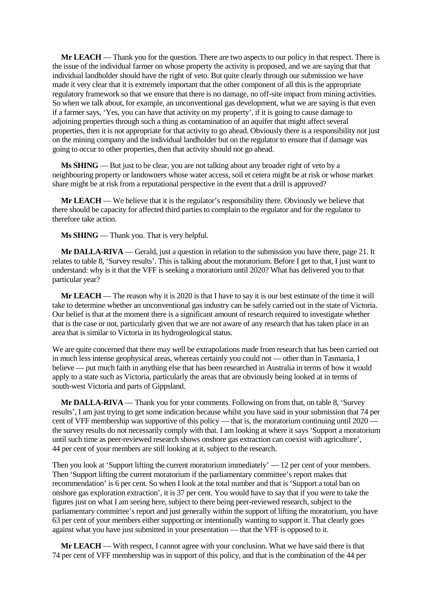**Mr LEACH** — Thank you for the question. There are two aspects to our policy in that respect. There is the issue of the individual farmer on whose property the activity is proposed, and we are saying that that individual landholder should have the right of veto. But quite clearly through our submission we have made it very clear that it is extremely important that the other component of all this is the appropriate regulatory framework so that we ensure that there is no damage, no off-site impact from mining activities. So when we talk about, for example, an unconventional gas development, what we are saying is that even if a farmer says, 'Yes, you can have that activity on my property', if it is going to cause damage to adjoining properties through such a thing as contamination of an aquifer that might affect several properties, then it is not appropriate for that activity to go ahead. Obviously there is a responsibility not just on the mining company and the individual landholder but on the regulator to ensure that if damage was going to occur to other properties, then that activity should not go ahead.

**Ms SHING** — But just to be clear, you are not talking about any broader right of veto by a neighbouring property or landowners whose water access, soil et cetera might be at risk or whose market share might be at risk from a reputational perspective in the event that a drill is approved?

**Mr LEACH** — We believe that it is the regulator's responsibility there. Obviously we believe that there should be capacity for affected third parties to complain to the regulator and for the regulator to therefore take action.

**Ms SHING** — Thank you. That is very helpful.

**Mr DALLA-RIVA** — Gerald, just a question in relation to the submission you have there, page 21. It relates to table 8, 'Survey results'. This is talking about the moratorium. Before I get to that, I just want to understand: why is it that the VFF is seeking a moratorium until 2020? What has delivered you to that particular year?

**Mr LEACH** — The reason why it is 2020 is that I have to say it is our best estimate of the time it will take to determine whether an unconventional gas industry can be safely carried out in the state of Victoria. Our belief is that at the moment there is a significant amount of research required to investigate whether that is the case or not, particularly given that we are not aware of any research that has taken place in an area that is similar to Victoria in its hydrogeological status.

We are quite concerned that there may well be extrapolations made from research that has been carried out in much less intense geophysical areas, whereas certainly you could not — other than in Tasmania, I believe — put much faith in anything else that has been researched in Australia in terms of how it would apply to a state such as Victoria, particularly the areas that are obviously being looked at in terms of south-west Victoria and parts of Gippsland.

**Mr DALLA-RIVA** — Thank you for your comments. Following on from that, on table 8, 'Survey results', I am just trying to get some indication because whilst you have said in your submission that 74 per cent of VFF membership was supportive of this policy — that is, the moratorium continuing until 2020 the survey results do not necessarily comply with that. I am looking at where it says 'Support a moratorium until such time as peer-reviewed research shows onshore gas extraction can coexist with agriculture', 44 per cent of your members are still looking at it, subject to the research.

Then you look at 'Support lifting the current moratorium immediately' — 12 per cent of your members. Then 'Support lifting the current moratorium if the parliamentary committee's report makes that recommendation' is 6 per cent. So when I look at the total number and that is 'Support a total ban on onshore gas exploration extraction', it is 37 per cent. You would have to say that if you were to take the figures just on what I am seeing here, subject to there being peer-reviewed research, subject to the parliamentary committee's report and just generally within the support of lifting the moratorium, you have 63 per cent of your members either supporting or intentionally wanting to support it. That clearly goes against what you have just submitted in your presentation — that the VFF is opposed to it.

**Mr LEACH** — With respect, I cannot agree with your conclusion. What we have said there is that 74 per cent of VFF membership was in support of this policy, and that is the combination of the 44 per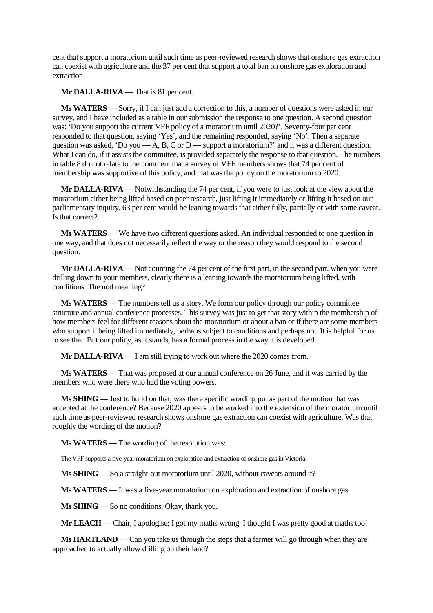cent that support a moratorium until such time as peer-reviewed research shows that onshore gas extraction can coexist with agriculture and the 37 per cent that support a total ban on onshore gas exploration and extraction — —

**Mr DALLA-RIVA** — That is 81 per cent.

**Ms WATERS** — Sorry, if I can just add a correction to this, a number of questions were asked in our survey, and I have included as a table in our submission the response to one question. A second question was: 'Do you support the current VFF policy of a moratorium until 2020?'. Seventy-four per cent responded to that question, saying 'Yes', and the remaining responded, saying 'No'. Then a separate question was asked, 'Do you  $-A$ , B, C or D — support a moratorium?' and it was a different question. What I can do, if it assists the committee, is provided separately the response to that question. The numbers in table 8 do not relate to the comment that a survey of VFF members shows that 74 per cent of membership was supportive of this policy, and that was the policy on the moratorium to 2020.

**Mr DALLA-RIVA** — Notwithstanding the 74 per cent, if you were to just look at the view about the moratorium either being lifted based on peer research, just lifting it immediately or lifting it based on our parliamentary inquiry, 63 per cent would be leaning towards that either fully, partially or with some caveat. Is that correct?

**Ms WATERS** — We have two different questions asked. An individual responded to one question in one way, and that does not necessarily reflect the way or the reason they would respond to the second question.

**Mr DALLA-RIVA** — Not counting the 74 per cent of the first part, in the second part, when you were drilling down to your members, clearly there is a leaning towards the moratorium being lifted, with conditions. The nod meaning?

**Ms WATERS** — The numbers tell us a story. We form our policy through our policy committee structure and annual conference processes. This survey was just to get that story within the membership of how members feel for different reasons about the moratorium or about a ban or if there are some members who support it being lifted immediately, perhaps subject to conditions and perhaps not. It is helpful for us to see that. But our policy, as it stands, has a formal process in the way it is developed.

**Mr DALLA-RIVA** — I am still trying to work out where the 2020 comes from.

**Ms WATERS** — That was proposed at our annual conference on 26 June, and it was carried by the members who were there who had the voting powers.

**Ms SHING** — Just to build on that, was there specific wording put as part of the motion that was accepted at the conference? Because 2020 appears to be worked into the extension of the moratorium until such time as peer-reviewed research shows onshore gas extraction can coexist with agriculture. Was that roughly the wording of the motion?

**Ms WATERS** — The wording of the resolution was:

The VFF supports a five-year moratorium on exploration and extraction of onshore gas in Victoria.

**Ms SHING** — So a straight-out moratorium until 2020, without caveats around it?

**Ms WATERS** — It was a five-year moratorium on exploration and extraction of onshore gas.

**Ms SHING** — So no conditions. Okay, thank you.

**Mr LEACH** — Chair, I apologise; I got my maths wrong. I thought I was pretty good at maths too!

**Ms HARTLAND** — Can you take us through the steps that a farmer will go through when they are approached to actually allow drilling on their land?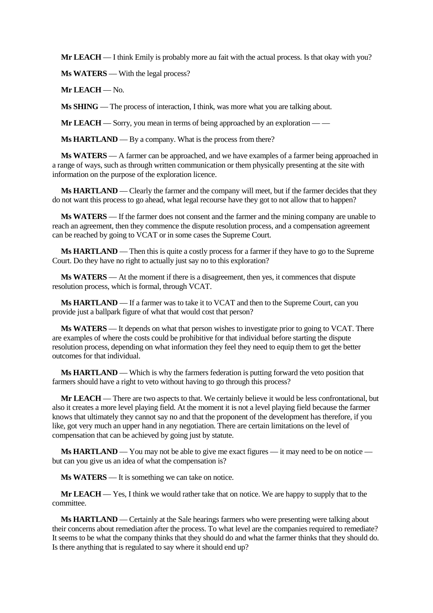**Mr LEACH** — I think Emily is probably more au fait with the actual process. Is that okay with you?

**Ms WATERS** — With the legal process?

**Mr LEACH** — No.

**Ms SHING** — The process of interaction, I think, was more what you are talking about.

**Mr LEACH** — Sorry, you mean in terms of being approached by an exploration — —

**Ms HARTLAND** — By a company. What is the process from there?

**Ms WATERS** — A farmer can be approached, and we have examples of a farmer being approached in a range of ways, such as through written communication or them physically presenting at the site with information on the purpose of the exploration licence.

**Ms HARTLAND** — Clearly the farmer and the company will meet, but if the farmer decides that they do not want this process to go ahead, what legal recourse have they got to not allow that to happen?

**Ms WATERS** — If the farmer does not consent and the farmer and the mining company are unable to reach an agreement, then they commence the dispute resolution process, and a compensation agreement can be reached by going to VCAT or in some cases the Supreme Court.

**Ms HARTLAND** — Then this is quite a costly process for a farmer if they have to go to the Supreme Court. Do they have no right to actually just say no to this exploration?

**Ms WATERS** — At the moment if there is a disagreement, then yes, it commences that dispute resolution process, which is formal, through VCAT.

**Ms HARTLAND** — If a farmer was to take it to VCAT and then to the Supreme Court, can you provide just a ballpark figure of what that would cost that person?

**Ms WATERS** — It depends on what that person wishes to investigate prior to going to VCAT. There are examples of where the costs could be prohibitive for that individual before starting the dispute resolution process, depending on what information they feel they need to equip them to get the better outcomes for that individual.

**Ms HARTLAND** — Which is why the farmers federation is putting forward the veto position that farmers should have a right to veto without having to go through this process?

**Mr LEACH** — There are two aspects to that. We certainly believe it would be less confrontational, but also it creates a more level playing field. At the moment it is not a level playing field because the farmer knows that ultimately they cannot say no and that the proponent of the development has therefore, if you like, got very much an upper hand in any negotiation. There are certain limitations on the level of compensation that can be achieved by going just by statute.

**Ms HARTLAND** — You may not be able to give me exact figures — it may need to be on notice but can you give us an idea of what the compensation is?

**Ms WATERS** — It is something we can take on notice.

**Mr LEACH** — Yes, I think we would rather take that on notice. We are happy to supply that to the committee.

**Ms HARTLAND** — Certainly at the Sale hearings farmers who were presenting were talking about their concerns about remediation after the process. To what level are the companies required to remediate? It seems to be what the company thinks that they should do and what the farmer thinks that they should do. Is there anything that is regulated to say where it should end up?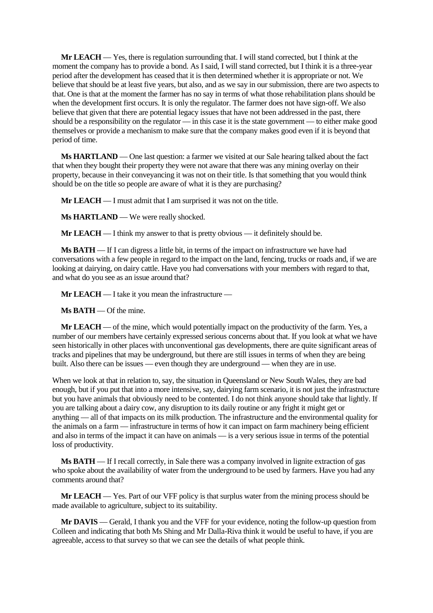**Mr LEACH** — Yes, there is regulation surrounding that. I will stand corrected, but I think at the moment the company has to provide a bond. As I said, I will stand corrected, but I think it is a three-year period after the development has ceased that it is then determined whether it is appropriate or not. We believe that should be at least five years, but also, and as we say in our submission, there are two aspects to that. One is that at the moment the farmer has no say in terms of what those rehabilitation plans should be when the development first occurs. It is only the regulator. The farmer does not have sign-off. We also believe that given that there are potential legacy issues that have not been addressed in the past, there should be a responsibility on the regulator — in this case it is the state government — to either make good themselves or provide a mechanism to make sure that the company makes good even if it is beyond that period of time.

**Ms HARTLAND** — One last question: a farmer we visited at our Sale hearing talked about the fact that when they bought their property they were not aware that there was any mining overlay on their property, because in their conveyancing it was not on their title. Is that something that you would think should be on the title so people are aware of what it is they are purchasing?

**Mr LEACH** — I must admit that I am surprised it was not on the title.

**Ms HARTLAND** — We were really shocked.

**Mr LEACH** — I think my answer to that is pretty obvious — it definitely should be.

**Ms BATH** — If I can digress a little bit, in terms of the impact on infrastructure we have had conversations with a few people in regard to the impact on the land, fencing, trucks or roads and, if we are looking at dairying, on dairy cattle. Have you had conversations with your members with regard to that, and what do you see as an issue around that?

**Mr LEACH** — I take it you mean the infrastructure —

**Ms BATH** — Of the mine.

**Mr LEACH** — of the mine, which would potentially impact on the productivity of the farm. Yes, a number of our members have certainly expressed serious concerns about that. If you look at what we have seen historically in other places with unconventional gas developments, there are quite significant areas of tracks and pipelines that may be underground, but there are still issues in terms of when they are being built. Also there can be issues — even though they are underground — when they are in use.

When we look at that in relation to, say, the situation in Queensland or New South Wales, they are bad enough, but if you put that into a more intensive, say, dairying farm scenario, it is not just the infrastructure but you have animals that obviously need to be contented. I do not think anyone should take that lightly. If you are talking about a dairy cow, any disruption to its daily routine or any fright it might get or anything — all of that impacts on its milk production. The infrastructure and the environmental quality for the animals on a farm — infrastructure in terms of how it can impact on farm machinery being efficient and also in terms of the impact it can have on animals — is a very serious issue in terms of the potential loss of productivity.

**Ms BATH** — If I recall correctly, in Sale there was a company involved in lignite extraction of gas who spoke about the availability of water from the underground to be used by farmers. Have you had any comments around that?

**Mr LEACH** — Yes. Part of our VFF policy is that surplus water from the mining process should be made available to agriculture, subject to its suitability.

**Mr DAVIS** — Gerald, I thank you and the VFF for your evidence, noting the follow-up question from Colleen and indicating that both Ms Shing and Mr Dalla-Riva think it would be useful to have, if you are agreeable, access to that survey so that we can see the details of what people think.